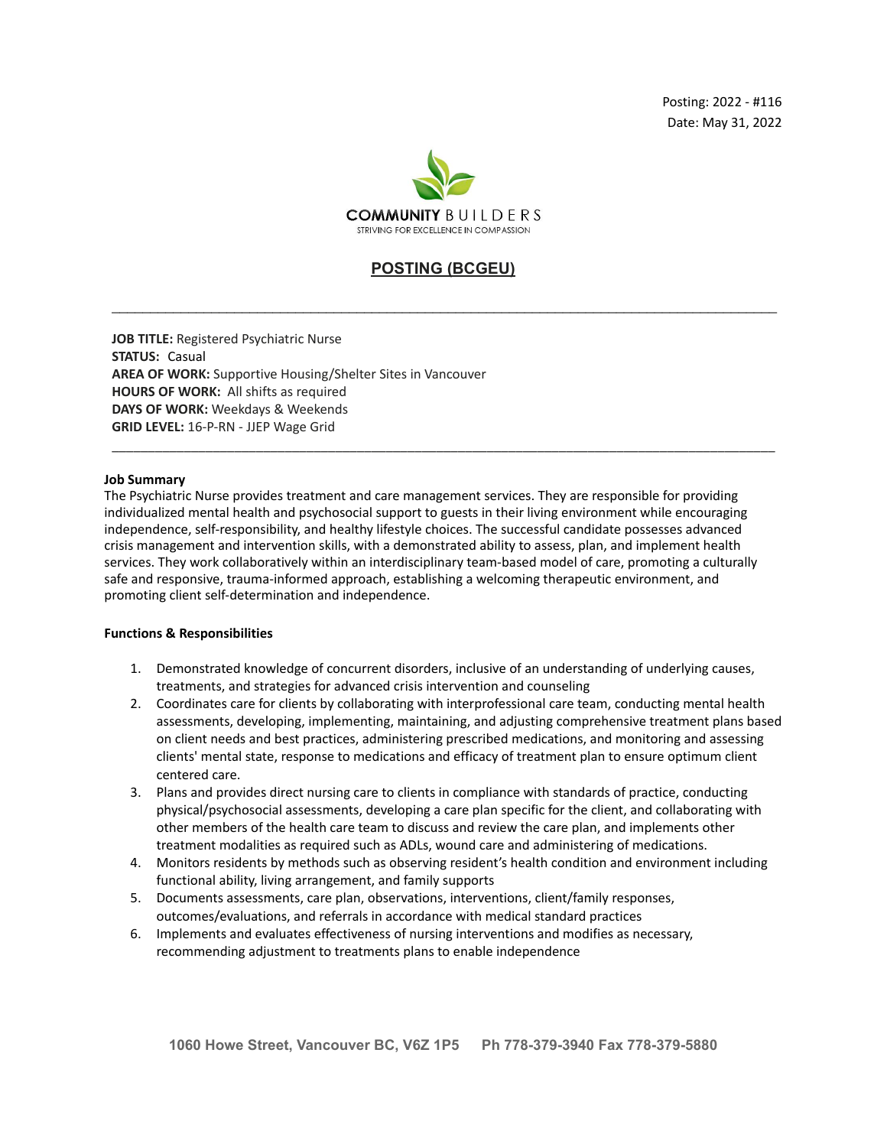

# **POSTING (BCGEU)**

\_\_\_\_\_\_\_\_\_\_\_\_\_\_\_\_\_\_\_\_\_\_\_\_\_\_\_\_\_\_\_\_\_\_\_\_\_\_\_\_\_\_\_\_\_\_\_\_\_\_\_\_\_\_\_\_\_\_\_\_\_\_\_\_\_\_\_\_\_\_\_\_\_\_\_\_\_\_\_\_\_\_\_\_\_\_\_

\_\_\_\_\_\_\_\_\_\_\_\_\_\_\_\_\_\_\_\_\_\_\_\_\_\_\_\_\_\_\_\_\_\_\_\_\_\_\_\_\_\_\_\_\_\_\_\_\_\_\_\_\_\_\_\_\_\_\_\_\_\_\_\_\_\_\_\_\_\_\_\_\_\_\_\_\_\_\_\_\_\_\_\_\_\_\_\_\_\_\_\_

**JOB TITLE:** Registered Psychiatric Nurse **STATUS:** Casual **AREA OF WORK:** Supportive Housing/Shelter Sites in Vancouver **HOURS OF WORK:** All shifts as required **DAYS OF WORK:** Weekdays & Weekends **GRID LEVEL:** 16-P-RN - JJEP Wage Grid

#### **Job Summary**

The Psychiatric Nurse provides treatment and care management services. They are responsible for providing individualized mental health and psychosocial support to guests in their living environment while encouraging independence, self-responsibility, and healthy lifestyle choices. The successful candidate possesses advanced crisis management and intervention skills, with a demonstrated ability to assess, plan, and implement health services. They work collaboratively within an interdisciplinary team-based model of care, promoting a culturally safe and responsive, trauma-informed approach, establishing a welcoming therapeutic environment, and promoting client self-determination and independence.

#### **Functions & Responsibilities**

- 1. Demonstrated knowledge of concurrent disorders, inclusive of an understanding of underlying causes, treatments, and strategies for advanced crisis intervention and counseling
- 2. Coordinates care for clients by collaborating with interprofessional care team, conducting mental health assessments, developing, implementing, maintaining, and adjusting comprehensive treatment plans based on client needs and best practices, administering prescribed medications, and monitoring and assessing clients' mental state, response to medications and efficacy of treatment plan to ensure optimum client centered care.
- 3. Plans and provides direct nursing care to clients in compliance with standards of practice, conducting physical/psychosocial assessments, developing a care plan specific for the client, and collaborating with other members of the health care team to discuss and review the care plan, and implements other treatment modalities as required such as ADLs, wound care and administering of medications.
- 4. Monitors residents by methods such as observing resident's health condition and environment including functional ability, living arrangement, and family supports
- 5. Documents assessments, care plan, observations, interventions, client/family responses, outcomes/evaluations, and referrals in accordance with medical standard practices
- 6. Implements and evaluates effectiveness of nursing interventions and modifies as necessary, recommending adjustment to treatments plans to enable independence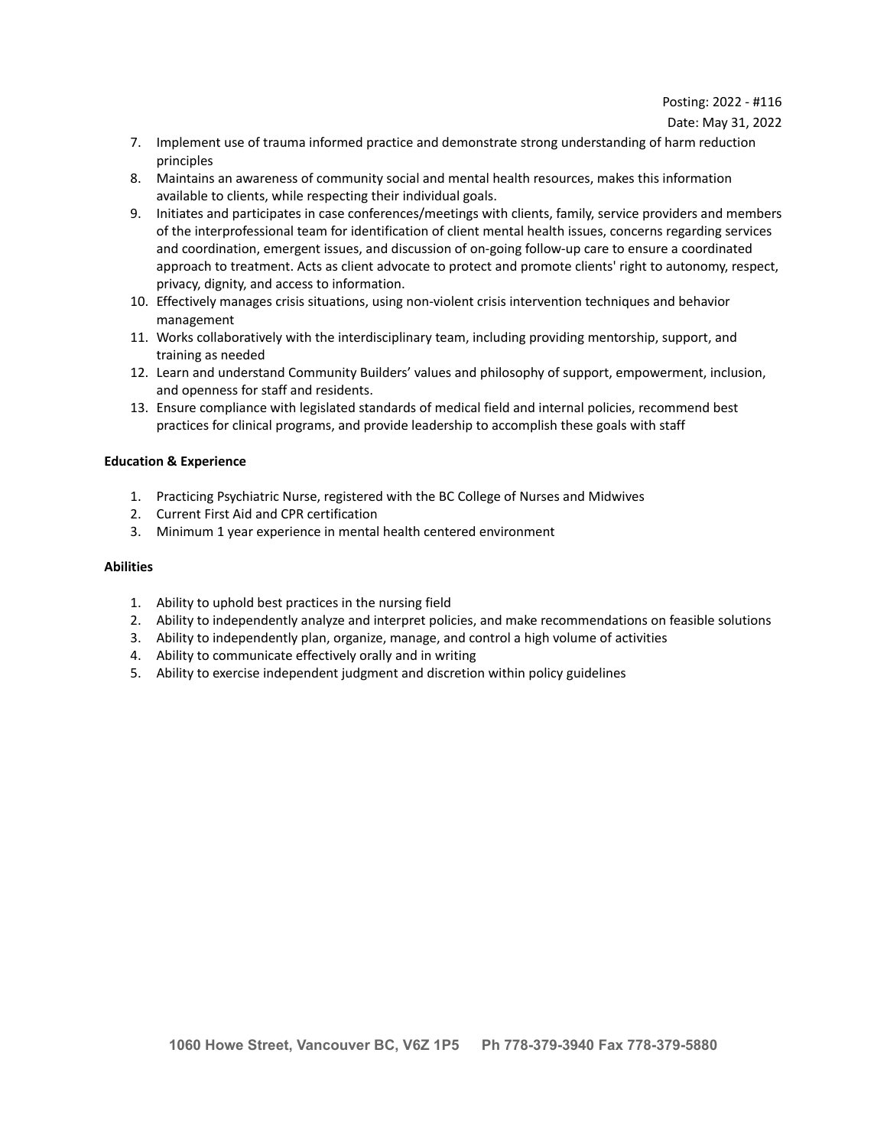### Date: May 31, 2022

- 7. Implement use of trauma informed practice and demonstrate strong understanding of harm reduction principles
- 8. Maintains an awareness of community social and mental health resources, makes this information available to clients, while respecting their individual goals.
- 9. Initiates and participates in case conferences/meetings with clients, family, service providers and members of the interprofessional team for identification of client mental health issues, concerns regarding services and coordination, emergent issues, and discussion of on-going follow-up care to ensure a coordinated approach to treatment. Acts as client advocate to protect and promote clients' right to autonomy, respect, privacy, dignity, and access to information.
- 10. Effectively manages crisis situations, using non-violent crisis intervention techniques and behavior management
- 11. Works collaboratively with the interdisciplinary team, including providing mentorship, support, and training as needed
- 12. Learn and understand Community Builders' values and philosophy of support, empowerment, inclusion, and openness for staff and residents.
- 13. Ensure compliance with legislated standards of medical field and internal policies, recommend best practices for clinical programs, and provide leadership to accomplish these goals with staff

## **Education & Experience**

- 1. Practicing Psychiatric Nurse, registered with the BC College of Nurses and Midwives
- 2. Current First Aid and CPR certification
- 3. Minimum 1 year experience in mental health centered environment

### **Abilities**

- 1. Ability to uphold best practices in the nursing field
- 2. Ability to independently analyze and interpret policies, and make recommendations on feasible solutions
- 3. Ability to independently plan, organize, manage, and control a high volume of activities
- 4. Ability to communicate effectively orally and in writing
- 5. Ability to exercise independent judgment and discretion within policy guidelines